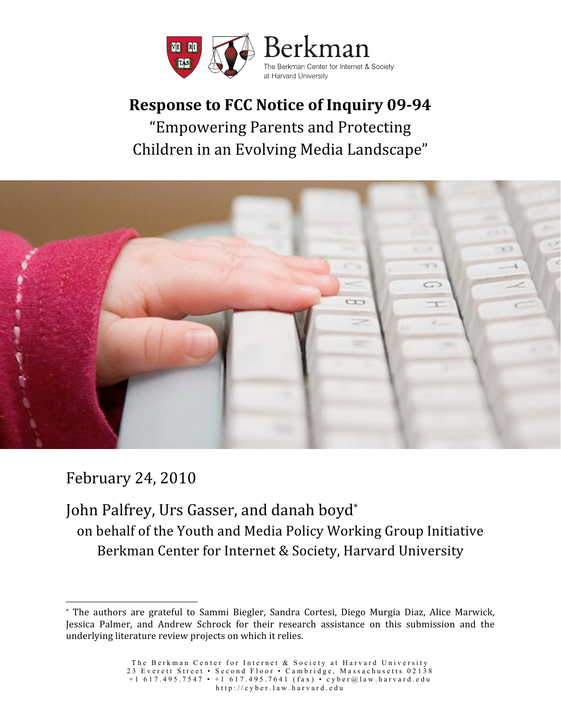

# **Response to FCC Notice of Inquiry 09-94** "Empowering
Parents
and
Protecting Children
in
an
Evolving
Media
Landscape"



February
24,
2010

 $\overline{a}$ 

John Palfrey, Urs Gasser, and danah boyd\* on
behalf
of
the
Youth
and
Media
Policy
Working
Group
Initiative Berkman
Center
for
Internet
&
Society,
Harvard
University

<sup>\*</sup> The authors are grateful to Sammi Biegler, Sandra Cortesi, Diego Murgia Diaz, Alice Marwick, Jessica Palmer, and Andrew Schrock for their research assistance on this submission and the underlying
literature
review
projects
on
which
it
relies.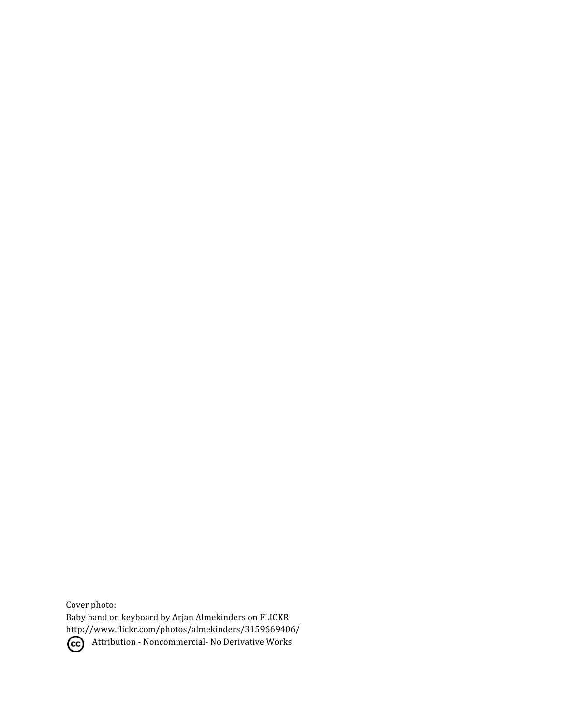Cover
photo: Baby
hand
on
keyboard by
Arjan
Almekinders
on
FLICKR http://www.flickr.com/photos/almekinders/3159669406/ CC Attribution - Noncommercial- No Derivative Works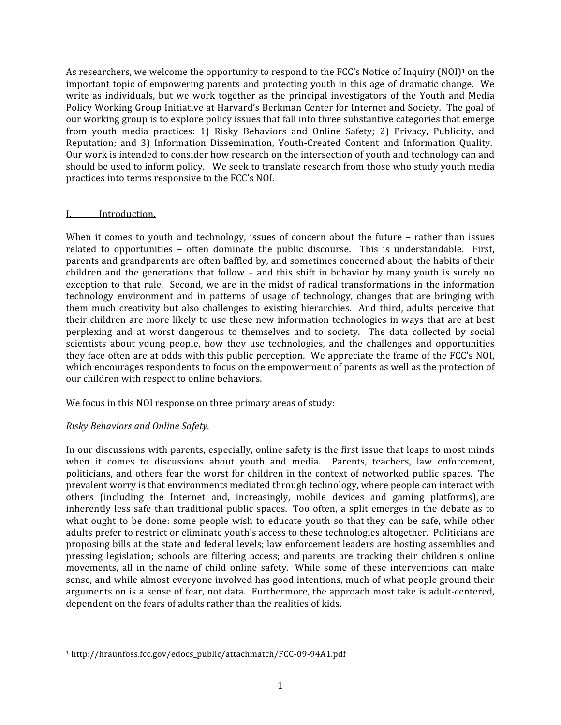As researchers, we welcome the opportunity to respond to the FCC's Notice of Inquiry (NOI)<sup>1</sup> on the important topic of empowering parents and protecting youth in this age of dramatic change. We write as individuals, but we work together as the principal investigators of the Youth and Media Policy Working Group Initiative at Harvard's Berkman Center for Internet and Society. The goal of our
working
group
is
to
explore
policy
issues
that
fall
into
three
substantive
categories
that
emerge from youth media practices: 1) Risky Behaviors and Online Safety; 2) Privacy, Publicity, and Reputation; and 3) Information Dissemination, Youth-Created Content and Information Quality. Our work is intended to consider how research on the intersection of youth and technology can and should be used to inform policy. We seek to translate research from those who study youth media practices
into
terms
responsive
to
the
FCC's
NOI.

## I. Introduction.

When it comes to youth and technology, issues of concern about the future - rather than issues related to opportunities – often dominate the public discourse. This is understandable. First, parents
and
grandparents
are
often
baffled
by,
and
sometimes
concerned
about,
the
habits
of
their children and the generations that follow - and this shift in behavior by many youth is surely no exception to that rule. Second, we are in the midst of radical transformations in the information technology environment and in patterns of usage of technology, changes that are bringing with them much creativity but also challenges to existing hierarchies. And third, adults perceive that their children are more likely to use these new information technologies in ways that are at best perplexing and at worst dangerous to themselves and to society. The data collected by social scientists about young people, how they use technologies, and the challenges and opportunities they face often are at odds with this public perception. We appreciate the frame of the FCC's NOI, which encourages respondents to focus on the empowerment of parents as well as the protection of our
children
with
respect
to
online
behaviors.

We focus in this NOI response on three primary areas of study:

# *Risky
Behaviors
and
Online
Safety.*

 $\overline{a}$ 

In our discussions with parents, especially, online safety is the first issue that leaps to most minds when it comes to discussions about youth and media. Parents, teachers, law enforcement, politicians,
and
others
 fear
 the
worst
 for
children
in
 the
context
of
networked
public
spaces. The prevalent worry is that environments mediated through technology, where people can interact with others
 (including
 the
 Internet
 and,
 increasingly,
 mobile
 devices
 and
 gaming
 platforms), are inherently less safe than traditional public spaces. Too often, a split emerges in the debate as to what ought to be done: some people wish to educate youth so that they can be safe, while other adults
prefer
to
restrict
or
eliminate
youth's access
to
these
technologies
altogether. Politicians
are proposing
bills
at
the
state
and
federal
levels;
law
enforcement
leaders
are
hosting
assemblies
and pressing legislation; schools are filtering access; and parents are tracking their children's online movements, all in the name of child online safety. While some of these interventions can make sense,
and
while
almost
everyone
involved
has
good
intentions,
much
of
what
people
ground
their arguments
on
is
a
sense
of
 fear,
not
data.

Furthermore,
the
approach
most
take
is
adult‐centered, dependent
on
the
fears
of
adults
rather
than
the
realities
of
kids.

<sup>1</sup>http://hraunfoss.fcc.gov/edocs\_public/attachmatch/FCC‐09‐94A1.pdf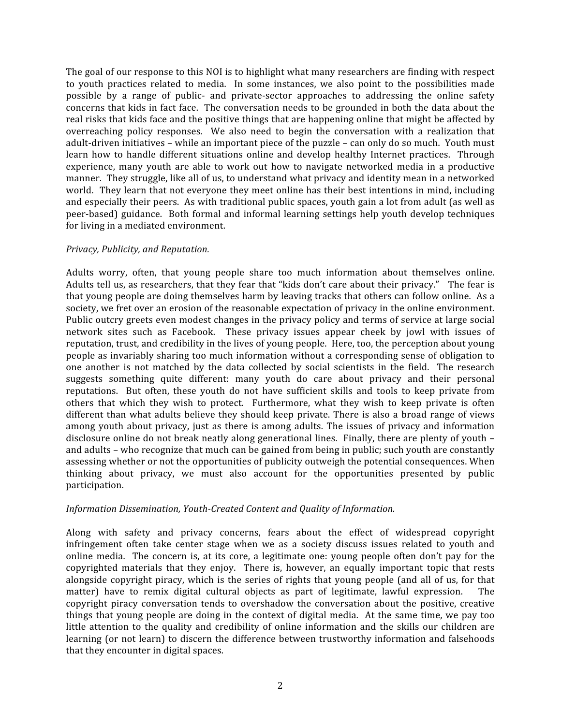The goal of our response to this NOI is to highlight what many researchers are finding with respect to youth practices related to media. In some instances, we also point to the possibilities made possible by a range of public- and private-sector approaches to addressing the online safety concerns
that
kids
in
fact
face.

The
conversation
needs
to
be
grounded
in
both
the
data
about
the real risks that kids face and the positive things that are happening online that might be affected by overreaching policy responses. We also need to begin the conversation with a realization that adult-driven initiatives – while an important piece of the puzzle – can only do so much. Youth must learn how to handle different situations online and develop healthy Internet practices. Through experience, many youth are able to work out how to navigate networked media in a productive manner. They struggle, like all of us, to understand what privacy and identity mean in a networked world. They learn that not everyone they meet online has their best intentions in mind, including and especially their peers. As with traditional public spaces, youth gain a lot from adult (as well as peer-based) guidance. Both formal and informal learning settings help youth develop techniques for
living
in
a
mediated
environment.

#### *Privacy,
Publicity,
and
Reputation.*

Adults worry, often, that young people share too much information about themselves online. Adults tell us, as researchers, that they fear that "kids don't care about their privacy." The fear is that young people are doing themselves harm by leaving tracks that others can follow online. As a society, we fret over an erosion of the reasonable expectation of privacy in the online environment. Public outcry greets even modest changes in the privacy policy and terms of service at large social network sites such as Facebook. These privacy issues appear cheek by jowl with issues of reputation, trust, and credibility in the lives of young people. Here, too, the perception about young people
as
invariably
sharing
too
much
information
without
a
corresponding
sense
of
obligation
to one another is not matched by the data collected by social scientists in the field. The research suggests something quite different: many youth do care about privacy and their personal reputations. But often, these youth do not have sufficient skills and tools to keep private from others that which they wish to protect. Furthermore, what they wish to keep private is often different than what adults believe they should keep private. There is also a broad range of views among youth about privacy, just as there is among adults. The issues of privacy and information disclosure online do not break neatly along generational lines. Finally, there are plenty of youth and
adults
–
who
recognize
that
much
can
be
gained
from
being
in
public;
such
youth
are
constantly assessing
whether
or
not
the
opportunities
of
publicity
outweigh
the
potential
consequences.
When thinking about privacy, we must also account for the opportunities presented by public participation.

#### Information Dissemination, Youth-Created Content and Quality of Information.

Along with safety and privacy concerns, fears about the effect of widespread copyright infringement often take center stage when we as a society discuss issues related to youth and online media. The concern is, at its core, a legitimate one: young people often don't pay for the copyrighted materials that they enjoy. There is, however, an equally important topic that rests alongside copyright piracy, which is the series of rights that young people (and all of us, for that matter) have to remix digital cultural objects as part of legitimate, lawful expression. The copyright piracy conversation tends to overshadow the conversation about the positive, creative things that young people are doing in the context of digital media. At the same time, we pay too little attention to the quality and credibility of online information and the skills our children are learning (or not learn) to discern the difference between trustworthy information and falsehoods that
they
encounter
in
digital
spaces.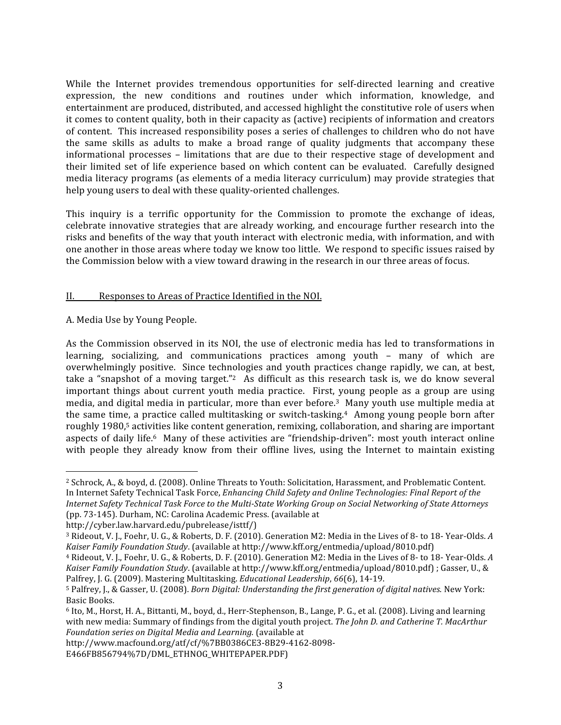While the Internet provides tremendous opportunities for self-directed learning and creative expression, the new conditions and routines under which information, knowledge, and entertainment are produced, distributed, and accessed highlight the constitutive role of users when it
comes
to
content
quality,
both
in
their
capacity
as
(active)
recipients
of
information
and
creators of content. This increased responsibility poses a series of challenges to children who do not have the same skills as adults to make a broad range of quality judgments that accompany these informational processes – limitations that are due to their respective stage of development and their limited set of life experience based on which content can be evaluated. Carefully designed media
literacy
programs
(as
elements
of
a
media
literacy
curriculum)
may
provide
strategies
 that help young users to deal with these quality-oriented challenges.

This inquiry is a terrific opportunity for the Commission to promote the exchange of ideas, celebrate
innovative
 strategies
 that
are
already
working,
and
encourage
 further
 research
into
 the risks and benefits of the way that youth interact with electronic media, with information, and with one
another
in
those
areas
where
today
we
know
too
little.

We
respond
to
specific
issues
raised
by the
Commission
below
with
a
view
toward
drawing
in
the
research
in
our
three
areas
of
focus.

## II. Responses to Areas of Practice Identified in the NOI.

A.
Media
Use
by
Young
People.

 $\overline{a}$ 

As the Commission observed in its NOI, the use of electronic media has led to transformations in learning, socializing, and communications practices among youth – many of which are overwhelmingly positive. Since technologies and youth practices change rapidly, we can, at best, take a "snapshot of a moving target."<sup>2</sup> As difficult as this research task is, we do know several important things about current youth media practice. First, young people as a group are using media, and digital media in particular, more than ever before.<sup>3</sup> Many youth use multiple media at the same time, a practice called multitasking or switch-tasking.<sup>4</sup> Among young people born after roughly 1980,<sup>5</sup> activities like content generation, remixing, collaboration, and sharing are important aspects of daily life.<sup>6</sup> Many of these activities are "friendship-driven": most youth interact online with people they already know from their offline lives, using the Internet to maintain existing

<sup>&</sup>lt;sup>2</sup> Schrock, A., & boyd, d. (2008). Online Threats to Youth: Solicitation, Harassment, and Problematic Content. In Internet Safety Technical Task Force, *Enhancing Child Safety and Online Technologies: Final Report of the* Internet Safety Technical Task Force to the Multi-State Working Group on Social Networking of State Attorneys (pp.
73‐145).
Durham,
NC:
Carolina
Academic
Press.
(available
at

http://cyber.law.harvard.edu/pubrelease/isttf/)

<sup>&</sup>lt;sup>3</sup> Rideout, V. J., Foehr, U. G., & Roberts, D. F. (2010). Generation M2: Media in the Lives of 8- to 18-Year-Olds. A Kaiser Family Foundation Study. (available at http://www.kff.org/entmedia/upload/8010.pdf)

<sup>&</sup>lt;sup>4</sup> Rideout, V. J., Foehr, U. G., & Roberts, D. F. (2010). Generation M2: Media in the Lives of 8- to 18-Year-Olds. A Kaiser Family Foundation Study. (available at http://www.kff.org/entmedia/upload/8010.pdf); Gasser, U., & Palfrey,
J.
G.
(2009).
Mastering
Multitasking. *Educational
Leadership*, *66*(6),
14‐19.

<sup>&</sup>lt;sup>5</sup> Palfrey, J., & Gasser, U. (2008). *Born Digital: Understanding the first generation of digital natives.* New York: Basic
Books.

 $6$  Ito, M., Horst, H. A., Bittanti, M., boyd, d., Herr-Stephenson, B., Lange, P. G., et al. (2008). Living and learning with new media: Summary of findings from the digital youth project. The John D. and Catherine T. MacArthur *Foundation
series
on
Digital
Media
and
Learning.* (available
at

http://www.macfound.org/atf/cf/%7BB0386CE3‐8B29‐4162‐8098‐

E466FB856794%7D/DML\_ETHNOG\_WHITEPAPER.PDF)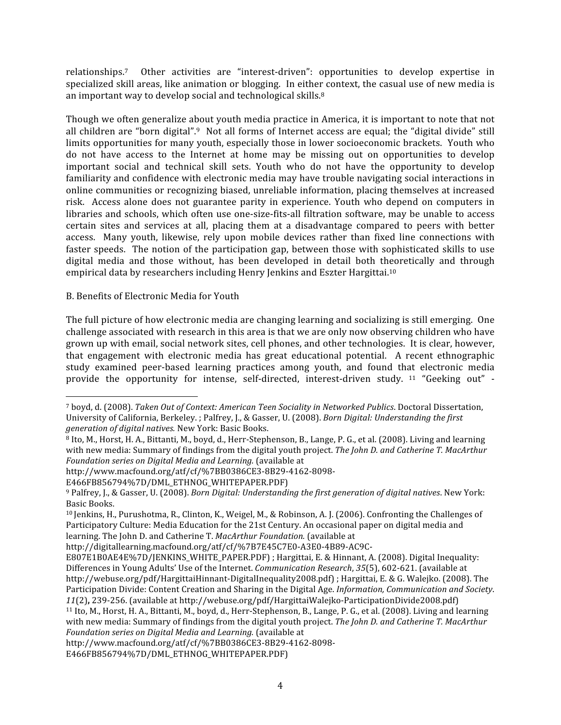relationships.<sup>7</sup> Other activities are "interest-driven": opportunities to develop expertise in specialized skill areas, like animation or blogging. In either context, the casual use of new media is an important way to develop social and technological skills.<sup>8</sup>

Though
we
often
generalize
about
youth
media
practice
in
America,
it
is
important
to
note
that
not all children are "born digital".<sup>9</sup> Not all forms of Internet access are equal; the "digital divide" still limits opportunities for many youth, especially those in lower socioeconomic brackets. Youth who do not have access to the Internet at home may be missing out on opportunities to develop important social and technical skill sets. Youth who do not have the opportunity to develop familiarity and confidence with electronic media may have trouble navigating social interactions in online
communities
or
recognizing
biased,
unreliable
information,
placing
themselves
at
increased risk. Access alone does not guarantee parity in experience. Youth who depend on computers in libraries and schools, which often use one-size-fits-all filtration software, may be unable to access certain sites and services at all, placing them at a disadvantage compared to peers with better access. Many youth, likewise, rely upon mobile devices rather than fixed line connections with faster speeds. The notion of the participation gap, between those with sophisticated skills to use digital media and those without, has been developed in detail both theoretically and through empirical
data
by
researchers
including
Henry
Jenkins
and
Eszter
Hargittai.10

#### B.
Benefits
of
Electronic
Media
for
Youth

 $\overline{a}$ 

The full
picture
of
how
electronic
media
are
changing
learning
and
socializing
is
still
emerging. One challenge associated with research in this area is that we are only now observing children who have grown
up
with
email,
social
network
sites,
cell
phones,
and
other
technologies. It
is
clear,
however, that engagement
 with electronic
 media has
 great
 educational
 potential.

 A
 recent
 ethnographic study examined peer-based learning practices among youth, and found that electronic media provide the opportunity for intense, self-directed, interest-driven study. <sup>11</sup> "Geeking out" -

<sup>&</sup>lt;sup>7</sup> boyd, d. (2008). Taken Out of Context: American Teen Sociality in Networked Publics. Doctoral Dissertation, University of California, Berkeley. ; Palfrey, J., & Gasser, U. (2008). *Born Digital: Understanding the first generation
of
digital
natives.* New
York:
Basic
Books.

<sup>&</sup>lt;sup>8</sup> Ito, M., Horst, H. A., Bittanti, M., boyd, d., Herr-Stephenson, B., Lange, P. G., et al. (2008). Living and learning with new media: Summary of findings from the digital youth project. The John D. and Catherine T. MacArthur *Foundation
series
on
Digital
Media
and
Learning.* (available
at

http://www.macfound.org/atf/cf/%7BB0386CE3‐8B29‐4162‐8098‐

E466FB856794%7D/DML\_ETHNOG\_WHITEPAPER.PDF)

<sup>&</sup>lt;sup>9</sup> Palfrey, J., & Gasser, U. (2008). *Born Digital: Understanding the first generation of digital natives*. New York: Basic
Books.

<sup>&</sup>lt;sup>10</sup> Jenkins, H., Purushotma, R., Clinton, K., Weigel, M., & Robinson, A. J. (2006). Confronting the Challenges of Participatory Culture: Media Education for the 21st Century. An occasional paper on digital media and learning.
The
John
D.
and
Catherine
T. *MacArthur
Foundation.* (available
at

http://digitallearning.macfound.org/atf/cf/%7B7E45C7E0‐A3E0‐4B89‐AC9C‐

E807E1B0AE4E%7D/JENKINS\_WHITE\_PAPER.PDF); Hargittai, E. & Hinnant, A. (2008). Digital Inequality: Differences
in
Young
Adults'
Use
of
the
Internet. *Communication
Research*,*35*(5),
602‐621.
(available
at http://webuse.org/pdf/HargittaiHinnant-DigitalInequality2008.pdf); Hargittai, E. & G. Walejko. (2008). The Participation Divide: Content Creation and Sharing in the Digital Age. *Information, Communication and Society*. *11*(2)**,**239‐256.
(available
at
http://webuse.org/pdf/HargittaiWalejko‐ParticipationDivide2008.pdf) <sup>11</sup> Ito, M., Horst, H. A., Bittanti, M., boyd, d., Herr-Stephenson, B., Lange, P. G., et al. (2008). Living and learning

with new media: Summary of findings from the digital youth project. The John D. and Catherine T. MacArthur *Foundation
series
on
Digital
Media
and
Learning.* (available
at

http://www.macfound.org/atf/cf/%7BB0386CE3‐8B29‐4162‐8098‐

E466FB856794%7D/DML\_ETHNOG\_WHITEPAPER.PDF)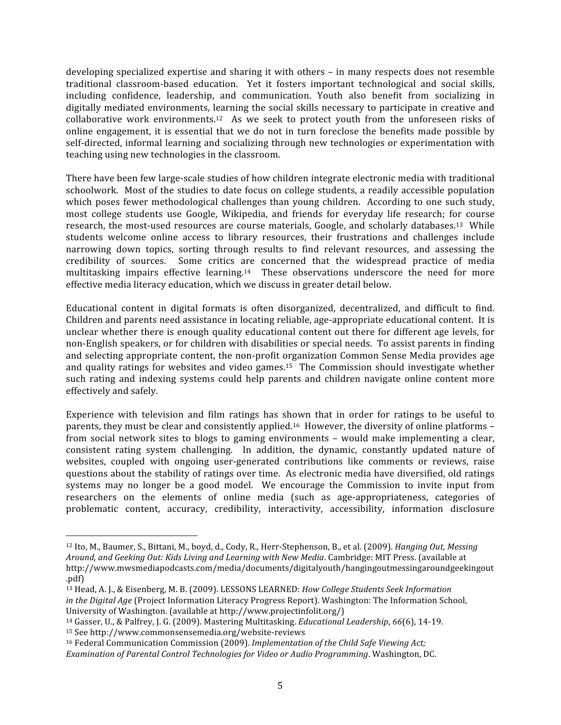developing
specialized
expertise
and
sharing
it
with
others
–
in
many
respects
does
not
resemble traditional classroom-based education. Yet it fosters important technological and social skills, including confidence, leadership, and communication. Youth also benefit from socializing in digitally mediated environments, learning the social skills necessary to participate in creative and collaborative work environments.<sup>12</sup> As we seek to protect youth from the unforeseen risks of online engagement, it is essential that we do not in turn foreclose the benefits made possible by self-directed, informal learning and socializing through new technologies or experimentation with teaching
using
new
technologies
in
the
classroom.

There
have
been
few
large‐scale
studies
of
how
children
integrate
electronic
media
with
traditional schoolwork. Most of the studies to date focus on college students, a readily accessible population which poses fewer methodological challenges than young children. According to one such study, most college students use Google, Wikipedia, and friends for everyday life research; for course research, the most-used resources are course materials, Google, and scholarly databases.<sup>13</sup> While students welcome online access to library resources, their frustrations and challenges include narrowing down topics, sorting through results to find relevant resources, and assessing the credibility
 of
 sources. Some
 critics
 are
 concerned
 that
 the
 widespread
 practice
 of
 media multitasking impairs effective learning.<sup>14</sup> These observations underscore the need for more effective
media
literacy
education,
which
we
discuss
in
greater
detail
below.

Educational content in digital formats is often disorganized, decentralized, and difficult to find. Children
and
parents
need
assistance
in
locating
reliable,
age‐appropriate
educational
content. It
is unclear whether there is enough quality educational content out there for different age levels, for non-English speakers, or for children with disabilities or special needs. To assist parents in finding and
selecting
appropriate
content,
the
non‐profit
organization
Common
Sense
Media
provides
age and quality ratings for websites and video games.<sup>15</sup> The Commission should investigate whether such rating and indexing systems could help parents and children navigate online content more effectively
and
safely.

Experience with television and film ratings has shown that in order for ratings to be useful to parents, they must be clear and consistently applied.<sup>16</sup> However, the diversity of online platforms from social network sites to blogs to gaming environments - would make implementing a clear, consistent
 rating
 system
 challenging. In
 addition,
 the
 dynamic,
 constantly
 updated
 nature
 of websites, coupled with ongoing user-generated contributions like comments or reviews, raise questions
about
the
stability
of
ratings
over
time. As
electronic
media
have
diversified,
old
ratings systems may no longer be a good model. We encourage the Commission to invite input from researchers on the elements of online media (such as age-appropriateness, categories of problematic content, accuracy, credibility, interactivity, accessibility, information disclosure

 $\overline{a}$ 

<sup>&</sup>lt;sup>12</sup> Ito, M., Baumer, S., Bittani, M., boyd, d., Cody, R., Herr-Stephenson, B., et al. (2009). *Hanging Out, Messing* Around, and Geeking Out: Kids Living and Learning with New Media. Cambridge: MIT Press. (available at http://www.mwsmediapodcasts.com/media/documents/digitalyouth/hangingoutmessingaroundgeekingout .pdf)

<sup>&</sup>lt;sup>13</sup> Head, A. J., & Eisenberg, M. B. (2009). LESSONS LEARNED: *How College Students Seek Information* in the Digital Age (Project Information Literacy Progress Report). Washington: The Information School, University
of
Washington.
(available
at
http://www.projectinfolit.org/)

<sup>14</sup> Gasser,
U.,
&
Palfrey,
J.
G.
(2009).
Mastering
Multitasking. *Educational
Leadership*, *66*(6),
14‐19.

<sup>15</sup> See
http://www.commonsensemedia.org/website‐reviews

<sup>&</sup>lt;sup>16</sup> Federal Communication Commission (2009). Implementation of the Child Safe Viewing Act; *Examination
of
Parental
Control
Technologies
for
Video
or
Audio
Programming*.
Washington,
DC.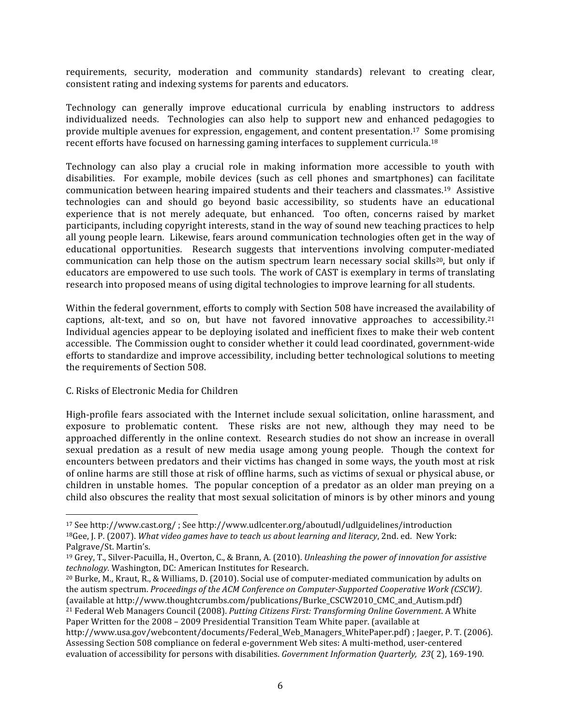requirements, security, moderation and community standards) relevant to creating clear, consistent
rating
and
indexing
systems
for
parents
and
educators.

Technology
 can
 generally
 improve
 educational
 curricula
 by
 enabling
 instructors
 to
 address individualized needs. Technologies can also help to support new and enhanced pedagogies to provide
multiple
avenues
for
expression,
engagement,
and
content
presentation.17 Some
promising recent efforts have focused on harnessing gaming interfaces to supplement curricula.<sup>18</sup>

Technology can also play a crucial role in making information more accessible to youth with disabilities. For example, mobile devices (such as cell phones and smartphones) can facilitate communication
between
hearing
impaired
students
and
their
teachers
and
classmates.19 Assistive technologies can and should go beyond basic accessibility, so students have an educational experience that is not merely adequate, but enhanced. Too often, concerns raised by market participants,
including
copyright
interests,
stand
in
the
way
of
sound
new
teaching
practices
to
help all young people learn. Likewise, fears around communication technologies often get in the way of educational
 opportunities.

 Research
 suggests
 that
 interventions
 involving
 computer‐mediated communication can help those on the autism spectrum learn necessary social skills<sup>20</sup>, but only if educators
are
empowered
to
use
such
tools.

The
work
of
CAST
is
exemplary
in
terms
of
translating research into proposed means of using digital technologies to improve learning for all students.

Within the federal government, efforts to comply with Section 508 have increased the availability of captions, alt-text, and so on, but have not favored innovative approaches to accessibility.<sup>21</sup> Individual agencies appear to be deploying isolated and inefficient fixes to make their web content accessible.

The
Commission
ought
to
consider
whether
it
could
lead
coordinated,
government‐wide efforts
to
standardize
and
improve
accessibility,
including
better
technological
solutions
to
meeting the
requirements
of
Section
508.

#### C.
Risks
of
Electronic
Media
for
Children

 $\overline{a}$ 

High-profile fears associated with the Internet include sexual solicitation, online harassment, and exposure to problematic content. These risks are not new, although they may need to be approached differently in the online context. Research studies do not show an increase in overall sexual predation as a result of new media usage among young people. Though the context for encounters
between
predators
and
their
victims
has
changed
in
some
ways,
the
youth
most
at
risk of
online
harms
are
still
those
at
risk
of
offline
harms,
such
as
victims
of
sexual
or
physical
abuse,
or children in unstable homes. The popular conception of a predator as an older man preying on a child
also
obscures
the
reality
that
most
sexual
solicitation
of
minors
is
by
other
minors
and
young

<sup>17</sup>See http://www.cast.org/
;
See
http://www.udlcenter.org/aboutudl/udlguidelines/introduction <sup>18</sup>Gee, J. P. (2007). *What video games have to teach us about learning and literacy*, 2nd. ed. New York: Palgrave/St.
Martin's.

<sup>&</sup>lt;sup>19</sup> Grey, T., Silver-Pacuilla, H., Overton, C., & Brann, A. (2010). *Unleashing the power of innovation for assistive technology.* Washington,
DC:
American
Institutes
for
Research.

<sup>&</sup>lt;sup>20</sup> Burke, M., Kraut, R., & Williams, D. (2010). Social use of computer-mediated communication by adults on the
autism
spectrum. *Proceedings
of
the
ACM
Conference
on
ComputerSupported
Cooperative
Work
(CSCW)*. (available
at
http://www.thoughtcrumbs.com/publications/Burke\_CSCW2010\_CMC\_and\_Autism.pdf) <sup>21</sup> Federal Web Managers Council (2008). Putting Citizens First: Transforming Online Government. A White Paper Written for the 2008 – 2009 Presidential Transition Team White paper. (available at

http://www.usa.gov/webcontent/documents/Federal\_Web\_Managers\_WhitePaper.pdf); Jaeger, P. T. (2006). Assessing
Section
508
compliance
on
federal
e‐government
Web
sites:
A
multi‐method,
user‐centered evaluation of accessibility for persons with disabilities. *Government Information Quarterly, 23*(2), 169-190.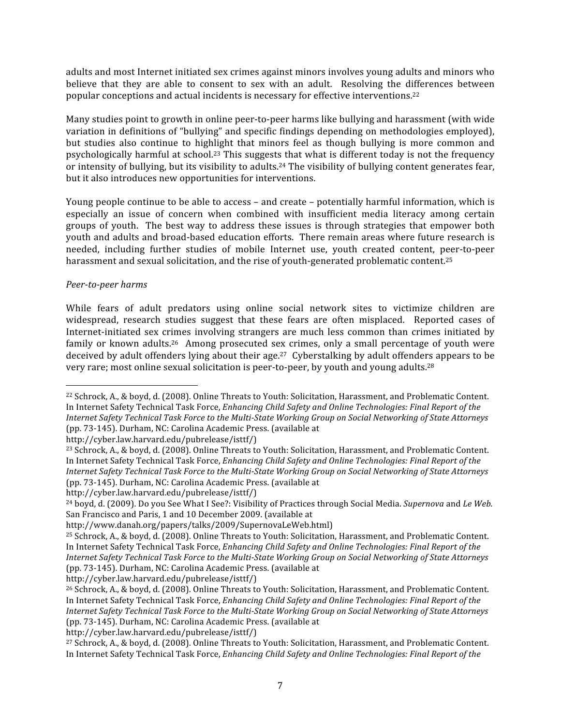adults and most Internet initiated sex crimes against minors involves young adults and minors who believe that they are able to consent to sex with an adult. Resolving the differences between popular
conceptions
and
actual
incidents
is
necessary
for
effective
interventions.22

Many studies point to growth in online peer-to-peer harms like bullying and harassment (with wide variation in definitions of "bullying" and specific findings depending on methodologies employed), but studies also continue to highlight that minors feel as though bullying is more common and psychologically harmful at school.<sup>23</sup> This suggests that what is different today is not the frequency or intensity of bullying, but its visibility to adults.<sup>24</sup> The visibility of bullying content generates fear, but
it
also
introduces
new
opportunities
for
interventions.

Young people continue to be able to access – and create – potentially harmful information, which is especially an issue of concern when combined with insufficient media literacy among certain groups of youth. The best way to address these issues is through strategies that empower both youth and adults and broad-based education efforts. There remain areas where future research is needed,
 including
 further studies
 of
 mobile Internet
 use,
 youth
 created
 content,
 peer‐to‐peer harassment and sexual solicitation, and the rise of youth-generated problematic content.<sup>25</sup>

#### Peer-to-peer harms

 $\overline{a}$ 

While fears of adult predators using online social network sites to victimize children are widespread, research studies suggest that these fears are often misplaced. Reported cases of Internet-initiated sex crimes involving strangers are much less common than crimes initiated by family or known adults.<sup>26</sup> Among prosecuted sex crimes, only a small percentage of youth were deceived
by
adult
offenders
lying
about
their
age.27 Cyberstalking
by
adult
offenders
appears
to
be very rare; most online sexual solicitation is peer-to-peer, by youth and young adults.<sup>28</sup>

http://cyber.law.harvard.edu/pubrelease/isttf/)

http://cyber.law.harvard.edu/pubrelease/isttf/)

http://cyber.law.harvard.edu/pubrelease/isttf/)

<sup>&</sup>lt;sup>22</sup> Schrock, A., & boyd, d. (2008). Online Threats to Youth: Solicitation, Harassment, and Problematic Content, In Internet Safety Technical Task Force, *Enhancing Child Safety and Online Technologies: Final Report of the* Internet Safety Technical Task Force to the Multi-State Working Group on Social Networking of State Attorneys (pp.
73‐145).
Durham,
NC:
Carolina
Academic
Press.
(available
at

<sup>&</sup>lt;sup>23</sup> Schrock, A., & boyd, d. (2008). Online Threats to Youth: Solicitation, Harassment, and Problematic Content. In Internet Safety Technical Task Force, *Enhancing Child Safety and Online Technologies: Final Report of the* Internet Safety Technical Task Force to the Multi-State Working Group on Social Networking of State Attorneys (pp.
73‐145).
Durham,
NC:
Carolina
Academic
Press.
(available
at

<sup>&</sup>lt;sup>24</sup> boyd, d. (2009). Do you See What I See?: Visibility of Practices through Social Media. Supernova and Le Web. San
Francisco
and
Paris,
1
and
10
December
2009.
(available
at

http://www.danah.org/papers/talks/2009/SupernovaLeWeb.html)

<sup>25</sup> Schrock,
A.,
&
boyd,
d.
(2008).
Online
Threats
to
Youth:
Solicitation,
Harassment,
and
Problematic
Content. In Internet Safety Technical Task Force, *Enhancing Child Safety and Online Technologies: Final Report of the* Internet Safety Technical Task Force to the Multi-State Working Group on Social Networking of State Attorneys (pp.
73‐145).
Durham,
NC:
Carolina
Academic
Press.
(available
at

<sup>&</sup>lt;sup>26</sup> Schrock, A., & boyd, d. (2008). Online Threats to Youth: Solicitation, Harassment, and Problematic Content. In Internet Safety Technical Task Force, *Enhancing Child Safety and Online Technologies: Final Report of the* Internet Safety Technical Task Force to the Multi-State Working Group on Social Networking of State Attorneys (pp.
73‐145).
Durham,
NC:
Carolina
Academic
Press.
(available
at

<sup>&</sup>lt;sup>27</sup> Schrock, A., & boyd, d. (2008). Online Threats to Youth: Solicitation, Harassment, and Problematic Content. In Internet Safety Technical Task Force, *Enhancing Child Safety and Online Technologies: Final Report of the*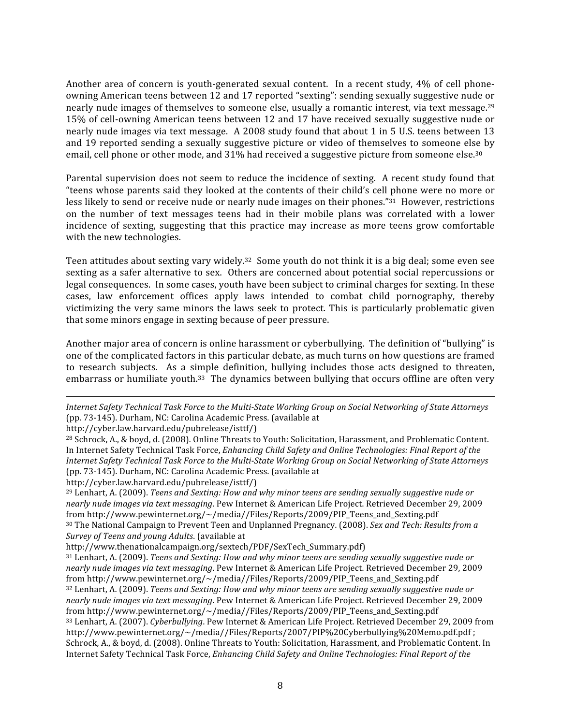Another area of concern is youth-generated sexual content. In a recent study, 4% of cell phoneowning American teens between 12 and 17 reported "sexting": sending sexually suggestive nude or nearly nude images of themselves to someone else, usually a romantic interest, via text message.<sup>29</sup> 15%
of
cell‐owning
American
teens
between
12
and
17
have
received
sexually
suggestive
nude
or nearly nude images via text message. A 2008 study found that about 1 in 5 U.S. teens between 13 and 19 reported sending a sexually suggestive picture or video of themselves to someone else by email, cell phone or other mode, and 31% had received a suggestive picture from someone else.<sup>30</sup>

Parental supervision does not seem to reduce the incidence of sexting. A recent study found that "teens
whose
parents
said
 they
looked
at
 the
contents
of
 their
child's
cell
phone
were
no
more
or less likely to send or receive nude or nearly nude images on their phones."<sup>31</sup> However, restrictions on the number of text messages teens had in their mobile plans was correlated with a lower incidence of sexting, suggesting that this practice may increase as more teens grow comfortable with the new technologies.

Teen attitudes about sexting vary widely.<sup>32</sup> Some youth do not think it is a big deal; some even see sexting as a safer alternative to sex. Others are concerned about potential social repercussions or legal consequences. In some cases, youth have been subject to criminal charges for sexting. In these cases,
 law
 enforcement
 offices
 apply
 laws
 intended
 to combat
 child
 pornography,
 thereby victimizing the very same minors the laws seek to protect. This is particularly problematic given that
some
minors
engage
in
sexting
because
of
peer
pressure.

Another major area of concern is online harassment or cyberbullying. The definition of "bullying" is one
of
the
complicated
factors
in
this
particular
debate,
as
much
turns
on
how
questions
are
framed to research subjects. As a simple definition, bullying includes those acts designed to threaten, embarrass or humiliate youth.<sup>33</sup> The dynamics between bullying that occurs offline are often very

 $\overline{a}$ Internet Safety Technical Task Force to the Multi-State Working Group on Social Networking of State Attorneys (pp.
73‐145).
Durham,
NC:
Carolina
Academic
Press.
(available
at

<sup>&</sup>lt;sup>28</sup> Schrock, A., & boyd, d. (2008). Online Threats to Youth: Solicitation, Harassment, and Problematic Content. In Internet Safety Technical Task Force, *Enhancing Child Safety and Online Technologies: Final Report of the* Internet Safety Technical Task Force to the Multi-State Working Group on Social Networking of State Attorneys (pp.
73‐145).
Durham,
NC:
Carolina
Academic
Press.
(available
at

http://cyber.law.harvard.edu/pubrelease/isttf/)

<sup>&</sup>lt;sup>29</sup> Lenhart, A. (2009). *Teens and Sexting: How and why minor teens are sending sexually suggestive nude or* nearly nude images via text messaging. Pew Internet & American Life Project. Retrieved December 29, 2009 from
http://www.pewinternet.org/~/media//Files/Reports/2009/PIP\_Teens\_and\_Sexting.pdf <sup>30</sup> The National Campaign to Prevent Teen and Unplanned Pregnancy. (2008). *Sex and Tech: Results from a Survey
of
Teens
and
young
Adults*.
(available
at

http://www.thenationalcampaign.org/sextech/PDF/SexTech\_Summary.pdf)

<sup>&</sup>lt;sup>31</sup> Lenhart, A. (2009). Teens and Sexting: How and why minor teens are sending sexually suggestive nude or nearly nude images via text messaging. Pew Internet & American Life Project. Retrieved December 29, 2009 from
http://www.pewinternet.org/~/media//Files/Reports/2009/PIP\_Teens\_and\_Sexting.pdf <sup>32</sup> Lenhart, A. (2009). *Teens and Sexting: How and why minor teens are sending sexually suggestive nude or* nearly nude images via text messaging. Pew Internet & American Life Project. Retrieved December 29, 2009 from http://www.pewinternet.org/~/media//Files/Reports/2009/PIP\_Teens\_and\_Sexting.pdf <sup>33</sup> Lenhart, A. (2007). *Cyberbullying*. Pew Internet & American Life Project. Retrieved December 29, 2009 from http://www.pewinternet.org/~/media//Files/Reports/2007/PIP%20Cyberbullying%20Memo.pdf.pdf ; Schrock, A., & boyd, d. (2008). Online Threats to Youth: Solicitation, Harassment, and Problematic Content. In Internet
Safety
Technical
Task
Force, *Enhancing
Child
Safety
and
Online
Technologies:
Final
Report
of
the*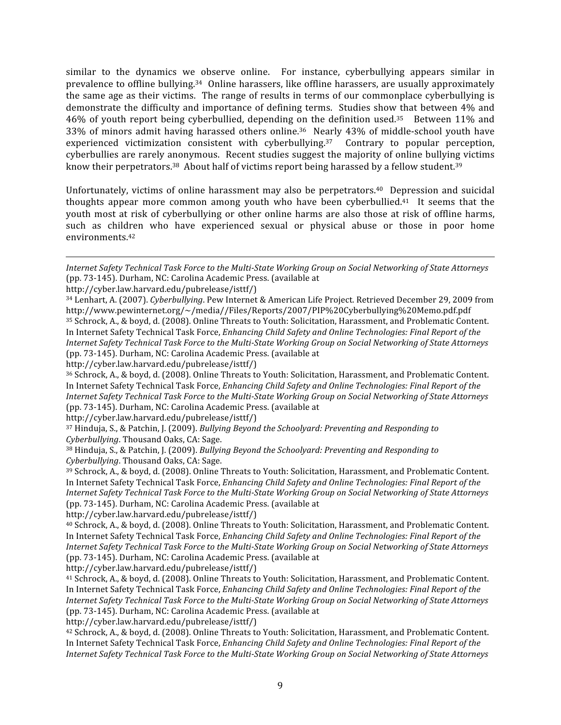similar to the dynamics we observe online. For instance, cyberbullying appears similar in prevalence to offline bullying.<sup>34</sup> Online harassers, like offline harassers, are usually approximately the same age as their victims. The range of results in terms of our commonplace cyberbullying is demonstrate the difficulty and importance of defining terms. Studies show that between 4% and 46% of youth report being cyberbullied, depending on the definition used.<sup>35</sup> Between 11% and 33%
 of
minors
 admit
 having
 harassed
 others
 online.36 Nearly
 43%
 of
middle‐school
 youth
 have experienced victimization consistent with cyberbullying.<sup>37</sup> Contrary to popular perception, cyberbullies are rarely anonymous. Recent studies suggest the majority of online bullying victims know their perpetrators.<sup>38</sup> About half of victims report being harassed by a fellow student.<sup>39</sup>

Unfortunately, victims of online harassment may also be perpetrators.<sup>40</sup> Depression and suicidal thoughts appear more common among youth who have been cyberbullied.<sup>41</sup> It seems that the youth most at risk of cyberbullying or other online harms are also those at risk of offline harms, such as children who have experienced sexual or physical abuse or those in poor home environments.42

http://cyber.law.harvard.edu/pubrelease/isttf/)

 $\overline{a}$ 

http://cyber.law.harvard.edu/pubrelease/isttf/)

<sup>36</sup> Schrock, A., & boyd, d. (2008). Online Threats to Youth: Solicitation, Harassment, and Problematic Content. In Internet Safety Technical Task Force, *Enhancing Child Safety and Online Technologies: Final Report of the* Internet Safety Technical Task Force to the Multi-State Working Group on Social Networking of State Attorneys (pp.
73‐145).
Durham,
NC:
Carolina
Academic
Press.
(available
at

http://cyber.law.harvard.edu/pubrelease/isttf/)

<sup>37</sup> Hinduja, S., & Patchin, J. (2009). *Bullying Beyond the Schoolyard: Preventing and Responding to Cyberbullying*.
Thousand
Oaks,
CA:
Sage.

<sup>38</sup> Hinduja, S., & Patchin, J. (2009). *Bullying Beyond the Schoolyard: Preventing and Responding to Cyberbullying*.
Thousand
Oaks,
CA:
Sage.

<sup>39</sup> Schrock,
A.,
&
boyd,
d.
(2008).
Online
Threats
to
Youth:
Solicitation,
Harassment,
and
Problematic
Content. In Internet Safety Technical Task Force, *Enhancing Child Safety and Online Technologies: Final Report of the* Internet Safety Technical Task Force to the Multi-State Working Group on Social Networking of State Attorneys (pp.
73‐145).
Durham,
NC:
Carolina
Academic
Press.
(available
at

http://cyber.law.harvard.edu/pubrelease/isttf/)

<sup>41</sup> Schrock,
A.,
&
boyd,
d.
(2008).
Online
Threats
to
Youth:
Solicitation,
Harassment,
and
Problematic
Content. In Internet Safety Technical Task Force, *Enhancing Child Safety and Online Technologies: Final Report of the* Internet Safety Technical Task Force to the Multi-State Working Group on Social Networking of State Attorneys (pp.
73‐145).
Durham,
NC:
Carolina
Academic
Press.
(available
at

http://cyber.law.harvard.edu/pubrelease/isttf/)

<sup>42</sup> Schrock, A., & boyd, d. (2008). Online Threats to Youth: Solicitation, Harassment, and Problematic Content. In Internet Safety Technical Task Force, *Enhancing Child Safety and Online Technologies: Final Report of the* Internet Safety Technical Task Force to the Multi-State Working Group on Social Networking of State Attorneys

Internet Safety Technical Task Force to the Multi-State Working Group on Social Networking of State Attorneys (pp.
73‐145).
Durham,
NC:
Carolina
Academic
Press.
(available
at

<sup>&</sup>lt;sup>34</sup> Lenhart, A. (2007). Cyberbullying. Pew Internet & American Life Project. Retrieved December 29. 2009 from http://www.pewinternet.org/~/media//Files/Reports/2007/PIP%20Cyberbullying%20Memo.pdf.pdf <sup>35</sup> Schrock,
A.,
&
boyd,
d.
(2008).
Online
Threats
to
Youth:
Solicitation,
Harassment,
and
Problematic
Content. In Internet Safety Technical Task Force, *Enhancing Child Safety and Online Technologies: Final Report of the* Internet Safety Technical Task Force to the Multi-State Working Group on Social Networking of State Attorneys (pp.
73‐145).
Durham,
NC:
Carolina
Academic
Press.
(available
at

<sup>&</sup>lt;sup>40</sup> Schrock, A., & boyd, d. (2008). Online Threats to Youth: Solicitation, Harassment, and Problematic Content. In Internet Safety Technical Task Force, *Enhancing Child Safety and Online Technologies: Final Report of the* Internet Safety Technical Task Force to the Multi-State Working Group on Social Networking of State Attorneys (pp.
73‐145).
Durham,
NC:
Carolina
Academic
Press.
(available
at http://cyber.law.harvard.edu/pubrelease/isttf/)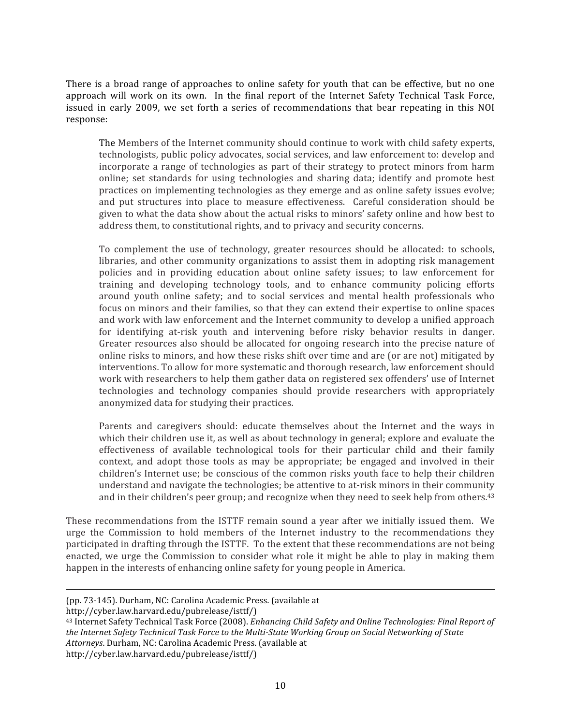There is a broad range of approaches to online safety for youth that can be effective, but no one approach will work on its own. In the final report of the Internet Safety Technical Task Force, issued in early 2009, we set forth a series of recommendations that bear repeating in this NOI response:

The
Members
of
the
Internet
community
should
continue
to
work
with
child
safety
experts, technologists,
public
policy
advocates,
social
services,
and
law
enforcement
to:
develop
and incorporate a range of technologies as part of their strategy to protect minors from harm online;
 set
 standards
 for
 using
 technologies
 and
 sharing
 data;
 identify
 and
 promote
 best practices
on
implementing
technologies
as
they
emerge
and
as
online
safety
issues
evolve; and put structures into place to measure effectiveness. Careful consideration should be given
to
what
the
data
show
about
the
actual
risks
to
minors'
safety
online
and
how
best
to address
them,
to
constitutional
rights,
and
to
privacy
and
security
concerns.

To complement the use of technology, greater resources should be allocated: to schools, libraries, and other community organizations to assist them in adopting risk management policies and in providing education about online safety issues; to law enforcement for training
 and
 developing
 technology
 tools,
 and
 to
 enhance
 community
 policing
 efforts around youth online safety; and to social services and mental health professionals who focus on minors and their families, so that they can extend their expertise to online spaces and
work
with
law
enforcement
and
the
Internet
community
to
develop
a
unified
approach for identifying at-risk youth and intervening before risky behavior results in danger. Greater resources also should be allocated for ongoing research into the precise nature of online
risks
to
minors,
and
how
these
risks
shift
over
time
and
are
(or
are
not)
mitigated
by interventions.
To
allow
for
more
systematic
and
thorough
research,
law
enforcement
should work with researchers to help them gather data on registered sex offenders' use of Internet technologies and technology companies should provide researchers with appropriately anonymized
data
for
studying
their
practices.

Parents and caregivers should: educate themselves about the Internet and the ways in which their children use it, as well as about technology in general; explore and evaluate the effectiveness of available technological tools for their particular child and their family context, and adopt those tools as may be appropriate; be engaged and involved in their children's
Internet
use;
be
conscious
of
the
common
risks
youth
face
to
help
their
children understand and navigate the technologies; be attentive to at-risk minors in their community and in their children's peer group; and recognize when they need to seek help from others.<sup>43</sup>

These recommendations from the ISTTF remain sound a year after we initially issued them. We urge
 the
 Commission
 to
 hold
 members
 of
 the
 Internet
 industry
 to
 the
 recommendations
 they participated
in
drafting
through
the
ISTTF.

To
the
extent
that
these
recommendations
are
not
being enacted, we urge the Commission to consider what role it might be able to play in making them happen in the interests of enhancing online safety for young people in America.

(pp.
73‐145).
Durham,
NC:
Carolina
Academic
Press.
(available
at

http://cyber.law.harvard.edu/pubrelease/isttf/)

 $\overline{a}$ 

<sup>43</sup> Internet Safety Technical Task Force (2008). *Enhancing Child Safety and Online Technologies: Final Report of* the Internet Safety Technical Task Force to the Multi-State Working Group on Social Networking of State *Attorneys*.
Durham,
NC:
Carolina
Academic
Press.
(available
at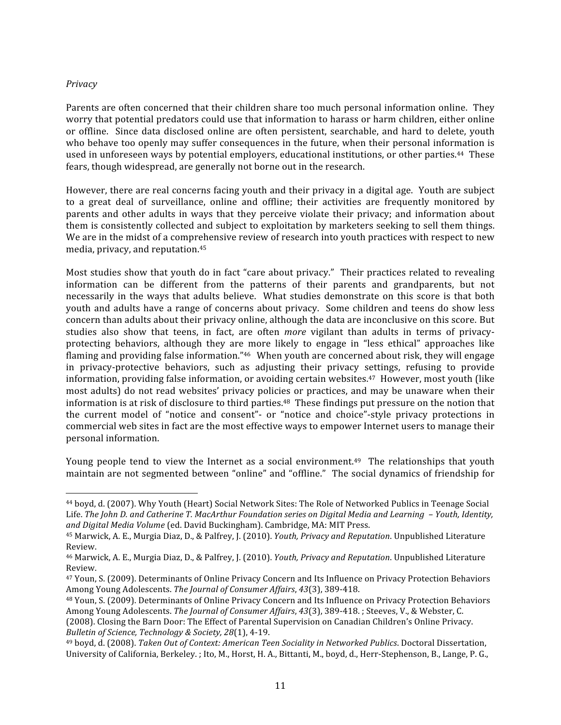#### *Privacy*

 $\overline{a}$ 

Parents are often concerned that their children share too much personal information online. They worry that potential predators could use that information to harass or harm children, either online or offline. Since data disclosed online are often persistent, searchable, and hard to delete, youth who behave too openly may suffer consequences in the future, when their personal information is used in unforeseen ways by potential employers, educational institutions, or other parties.<sup>44</sup> These fears,
though
widespread,
are
generally
not
borne
out
in
the
research.

However, there are real concerns facing youth and their privacy in a digital age. Youth are subject to a great deal of surveillance, online and offline; their activities are frequently monitored by parents
 and other
 adults
in
 ways
 that
 they
 perceive
 violate
 their
 privacy;
 and
information
 about them
is
consistently
collected
and
subject
to
exploitation
by
marketers
seeking
to
sell
them
things. We are in the midst of a comprehensive review of research into youth practices with respect to new media,
privacy,
and
reputation. 45

Most studies show that youth do in fact "care about privacy." Their practices related to revealing information
 can
 be
 different
 from
 the
 patterns
 of
 their
 parents
 and
 grandparents,
 but
 not necessarily in the ways that adults believe. What studies demonstrate on this score is that both youth and adults have a range of concerns about privacy. Some children and teens do show less concern
than
adults
about
their
privacy
online,
although
the
data
are
inconclusive
on
this
score. But studies also show that teens, in fact, are often *more* vigilant than adults in terms of privacyprotecting
 behaviors,
 although
 they
 are
 more
 likely
 to
 engage
 in
 "less
 ethical"
 approaches
 like flaming and providing false information."<sup>46</sup> When youth are concerned about risk, they will engage in privacy-protective behaviors, such as adjusting their privacy settings, refusing to provide information, providing false information, or avoiding certain websites.<sup>47</sup> However, most youth (like most adults) do not read websites' privacy policies or practices, and may be unaware when their information is at risk of disclosure to third parties.<sup>48</sup> These findings put pressure on the notion that the current model of "notice and consent"- or "notice and choice"-style privacy protections in commercial
web
sites
in
fact
are
the
most
effective
ways
to
empower
Internet
users
to
manage
their personal
information.

Young people tend to view the Internet as a social environment.<sup>49</sup> The relationships that youth maintain are not segmented between "online" and "offline." The social dynamics of friendship for

<sup>&</sup>lt;sup>44</sup> boyd, d. (2007). Why Youth (Heart) Social Network Sites: The Role of Networked Publics in Teenage Social Life. The John D. and Catherine T. MacArthur Foundation series on Digital Media and Learning - Youth, Identity, and Digital Media Volume (ed. David Buckingham). Cambridge, MA: MIT Press.

<sup>45</sup> Marwick,
A.
E.,
Murgia
Diaz,
D.,
&
Palfrey,
J.
(2010). *Youth,
Privacy
and
Reputation*.
Unpublished
Literature Review.

<sup>&</sup>lt;sup>46</sup> Marwick, A. E., Murgia Diaz, D., & Palfrey, J. (2010). *Youth, Privacy and Reputation*. Unpublished Literature Review.

<sup>&</sup>lt;sup>47</sup> Youn, S. (2009). Determinants of Online Privacy Concern and Its Influence on Privacy Protection Behaviors Among
Young
Adolescents. *The
Journal
of
Consumer
Affairs*, *43*(3),
389‐418.

<sup>48</sup> Youn,
S.
(2009).
Determinants
of
Online
Privacy
Concern
and
Its
Influence
on
Privacy
Protection
Behaviors Among Young Adolescents. The Journal of Consumer Affairs, 43(3), 389-418. ; Steeves, V., & Webster, C.

<sup>(2008).</sup>Closing
the
Barn
Door:
The
Effect
of
Parental
Supervision
on
Canadian
Children's
Online
Privacy. *Bulletin
of
Science,
Technology
&
Society, 28*(1),
4‐19.

<sup>49</sup> boyd,
d.
(2008). *Taken
Out
of
Context:
American
Teen
Sociality
in
Networked
Publics*.
Doctoral
Dissertation, University of California, Berkeley.; Ito, M., Horst, H. A., Bittanti, M., boyd, d., Herr-Stephenson, B., Lange, P. G.,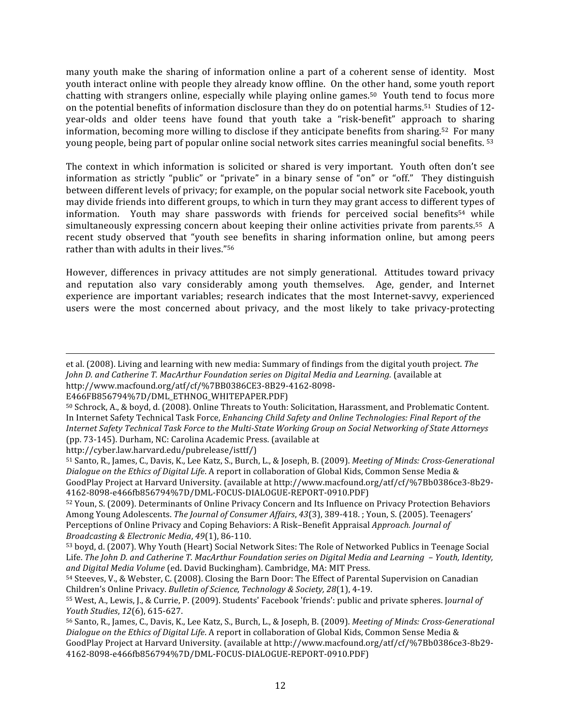many vouth make the sharing of information online a part of a coherent sense of identity. Most youth
interact
online
with
people
they
already
know
offline. On
the
other
hand,
some
youth
report chatting
with
strangers
online,
especially
while
playing
online
games.50 Youth
 tend
 to
 focus
more on the potential benefits of information disclosure than they do on potential harms.<sup>51</sup> Studies of 12year-olds and older teens have found that youth take a "risk-benefit" approach to sharing information, becoming more willing to disclose if they anticipate benefits from sharing.<sup>52</sup> For many young people, being part of popular online social network sites carries meaningful social benefits. 53

The context in which information is solicited or shared is very important. Youth often don't see information as strictly "public" or "private" in a binary sense of "on" or "off." They distinguish between
different
levels
of
privacy;
for
example,
on
the
popular
social
network
site
Facebook,
youth may
divide
friends
into
different
groups,
to
which
in
turn
they
may
grant
access
to
different
types
of information. Youth may share passwords with friends for perceived social benefits<sup>54</sup> while simultaneously expressing concern about keeping their online activities private from parents.<sup>55</sup> A recent study observed that "youth see benefits in sharing information online, but among peers rather
than
with
adults
in
their
lives."56

However, differences in privacy attitudes are not simply generational. Attitudes toward privacy and
 reputation
 also
 vary
 considerably
 among
 youth
 themselves. Age,
 gender,
 and Internet experience are important variables; research indicates that the most Internet-savvy, experienced users were the most concerned about privacy, and the most likely to take privacy-protecting

et
al.
(2008).
Living
and
learning
with
new
media:
Summary
of
findings
from
the
digital
youth
project. *The John
D.
and
Catherine
T.
MacArthur
Foundation
series
on
Digital
Media
and
Learning.* (available
at http://www.macfound.org/atf/cf/%7BB0386CE3‐8B29‐4162‐8098‐

http://cyber.law.harvard.edu/pubrelease/isttf/)

 $\overline{a}$ 

<sup>51</sup> Santo, R., James, C., Davis, K., Lee Katz, S., Burch, L., & Joseph, B. (2009). *Meeting of Minds: Cross-Generational* Dialogue on the Ethics of Digital Life. A report in collaboration of Global Kids, Common Sense Media & GoodPlay Project at Harvard University. (available at http://www.macfound.org/atf/cf/%7Bb0386ce3-8b29-4162‐8098‐e466fb856794%7D/DML‐FOCUS‐DIALOGUE‐REPORT‐0910.PDF)

E466FB856794%7D/DML\_ETHNOG\_WHITEPAPER.PDF)

<sup>&</sup>lt;sup>50</sup> Schrock, A., & boyd, d. (2008). Online Threats to Youth: Solicitation, Harassment, and Problematic Content. In Internet Safety Technical Task Force, *Enhancing Child Safety and Online Technologies: Final Report of the* Internet Safety Technical Task Force to the Multi-State Working Group on Social Networking of State Attorneys (pp.
73‐145).
Durham,
NC:
Carolina
Academic
Press.
(available
at

<sup>&</sup>lt;sup>52</sup> Youn, S. (2009). Determinants of Online Privacy Concern and Its Influence on Privacy Protection Behaviors Among Young Adolescents. The Journal of Consumer Affairs, 43(3), 389-418.; Youn, S. (2005). Teenagers' Perceptions of Online Privacy and Coping Behaviors: A Risk–Benefit Appraisal *Approach. Journal of Broadcasting
&
Electronic
Media*, *49*(1),
86‐110.

<sup>53</sup> boyd, d. (2007). Why Youth (Heart) Social Network Sites: The Role of Networked Publics in Teenage Social Life. The John D. and Catherine T. MacArthur Foundation series on Digital Media and Learning - Youth, Identity, and Digital Media Volume (ed. David Buckingham). Cambridge, MA: MIT Press.

<sup>&</sup>lt;sup>54</sup> Steeves, V., & Webster, C. (2008). Closing the Barn Door: The Effect of Parental Supervision on Canadian Children's
Online
Privacy. *Bulletin
of
Science,
Technology
&
Society, 28*(1),
4‐19.

<sup>&</sup>lt;sup>55</sup> West, A., Lewis, J., & Currie, P. (2009). Students' Facebook 'friends': public and private spheres. Journal of *Youth
Studies*, *12*(6),
615‐627.

<sup>&</sup>lt;sup>56</sup> Santo, R., James, C., Davis, K., Lee Katz, S., Burch, L., & Joseph, B. (2009). *Meeting of Minds: Cross-Generational* Dialogue on the Ethics of Digital Life. A report in collaboration of Global Kids, Common Sense Media & GoodPlay Project at Harvard University. (available at http://www.macfound.org/atf/cf/%7Bb0386ce3-8b29-4162‐8098‐e466fb856794%7D/DML‐FOCUS‐DIALOGUE‐REPORT‐0910.PDF)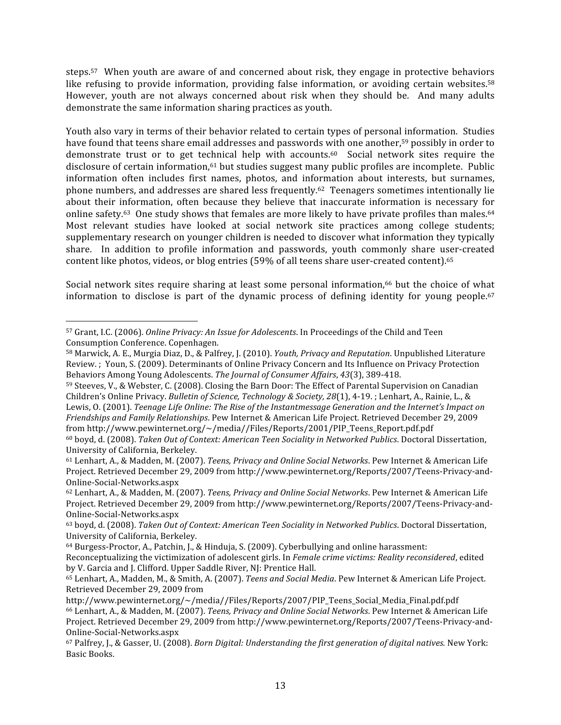steps.<sup>57</sup> When youth are aware of and concerned about risk, they engage in protective behaviors like refusing to provide information, providing false information, or avoiding certain websites.<sup>58</sup> However, youth are not always concerned about risk when they should be. And many adults demonstrate
the
same
information
sharing
practices
as
youth.

Youth also vary in terms of their behavior related to certain types of personal information. Studies have found that teens share email addresses and passwords with one another,<sup>59</sup> possibly in order to demonstrate trust or to get technical help with accounts.<sup>60</sup> Social network sites require the disclosure of certain information,<sup>61</sup> but studies suggest many public profiles are incomplete. Public information
 often
 includes
 first
 names,
 photos,
 and
 information
 about
 interests,
 but
 surnames, phone
numbers,
and
addresses
are
shared
less
frequently.62 Teenagers
sometimes
intentionally
lie about their information, often because they believe that inaccurate information is necessary for online safety.<sup>63</sup> One study shows that females are more likely to have private profiles than males.<sup>64</sup> Most relevant studies have looked at social network site practices among college students; supplementary research on younger children is needed to discover what information they typically share. In addition to profile information and passwords, youth commonly share user-created content
like
photos,
videos,
or
blog
entries
(59%
of
all
teens
share
user‐created
content).65

Social network sites require sharing at least some personal information,<sup>66</sup> but the choice of what information to disclose is part of the dynamic process of defining identity for young people.<sup>67</sup>

 $\overline{a}$ <sup>57</sup> Grant, I.C. (2006). *Online Privacy: An Issue for Adolescents*. In Proceedings of the Child and Teen Consumption
Conference.
Copenhagen.

<sup>58</sup> Marwick,
A.
E.,
Murgia
Diaz,
D.,
&
Palfrey,
J.
(2010). *Youth,
Privacy
and
Reputation*.
Unpublished
Literature Review.; Youn, S. (2009). Determinants of Online Privacy Concern and Its Influence on Privacy Protection Behaviors
Among
Young
Adolescents. *The
Journal
of
Consumer
Affairs*, *43*(3),
389‐418.

<sup>&</sup>lt;sup>59</sup> Steeves, V., & Webster, C. (2008). Closing the Barn Door: The Effect of Parental Supervision on Canadian Children's Online Privacy, *Bulletin of Science, Technology & Society, 28*(1), 4-19. ; Lenhart, A., Rainie, L., & Lewis, 0. (2001). Teenage Life Online: The Rise of the Instantmessage Generation and the Internet's Impact on Friendships and Family Relationships. Pew Internet & American Life Project. Retrieved December 29, 2009 from
http://www.pewinternet.org/~/media//Files/Reports/2001/PIP\_Teens\_Report.pdf.pdf

<sup>&</sup>lt;sup>60</sup> boyd, d. (2008). Taken Out of Context: American Teen Sociality in Networked Publics. Doctoral Dissertation, University
of
California,
Berkeley.

<sup>&</sup>lt;sup>61</sup> Lenhart, A., & Madden, M. (2007). *Teens, Privacy and Online Social Networks*. Pew Internet & American Life Project.
Retrieved
December
29,
2009
from
http://www.pewinternet.org/Reports/2007/Teens‐Privacy‐and‐ Online‐Social‐Networks.aspx

<sup>&</sup>lt;sup>62</sup> Lenhart, A., & Madden, M. (2007). *Teens, Privacy and Online Social Networks*. Pew Internet & American Life Project.
Retrieved
December
29,
2009
from
http://www.pewinternet.org/Reports/2007/Teens‐Privacy‐and‐ Online‐Social‐Networks.aspx

<sup>&</sup>lt;sup>63</sup> boyd, d. (2008). Taken Out of Context: American Teen Sociality in Networked Publics. Doctoral Dissertation, University
of
California,
Berkeley.

<sup>64</sup> Burgess‐Proctor,
A.,
Patchin,
J.,
&
Hinduja,
S.
(2009).
Cyberbullying
and
online
harassment:

Reconceptualizing
the
victimization
of
adolescent
girls.
In *Female
crime
victims:
Reality
reconsidered*,
edited by V. Garcia and J. Clifford. Upper Saddle River, NJ: Prentice Hall.

<sup>&</sup>lt;sup>65</sup> Lenhart, A., Madden, M., & Smith, A. (2007). Teens and Social Media. Pew Internet & American Life Project. Retrieved
December
29,
2009
from

http://www.pewinternet.org/~/media//Files/Reports/2007/PIP\_Teens\_Social\_Media\_Final.pdf.pdf <sup>66</sup> Lenhart, A., & Madden, M. (2007). *Teens, Privacy and Online Social Networks*. Pew Internet & American Life Project.
Retrieved
December
29,
2009
from
http://www.pewinternet.org/Reports/2007/Teens‐Privacy‐and‐ Online‐Social‐Networks.aspx

<sup>&</sup>lt;sup>67</sup> Palfrey, J., & Gasser, U. (2008). *Born Digital: Understanding the first generation of digital natives.* New York: Basic
Books.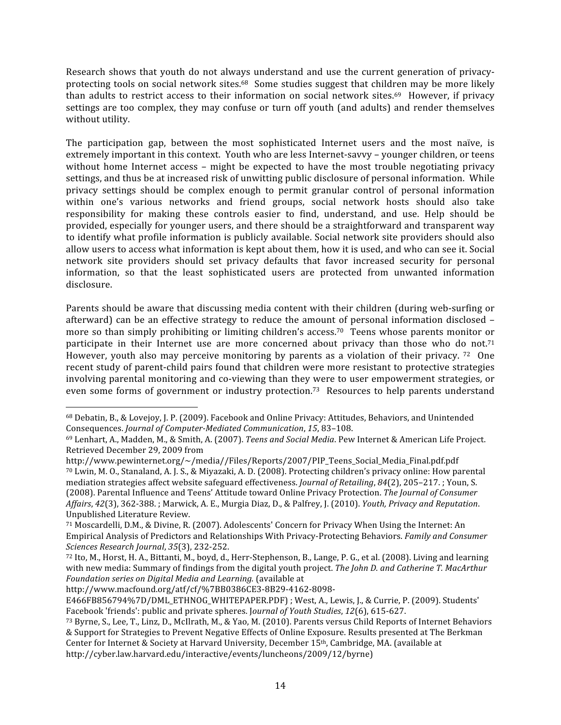Research shows that youth do not always understand and use the current generation of privacyprotecting tools on social network sites.<sup>68</sup> Some studies suggest that children may be more likely than adults to restrict access to their information on social network sites.<sup>69</sup> However, if privacy settings are too complex, they may confuse or turn off youth (and adults) and render themselves without
utility.

The participation gap, between the most sophisticated Internet users and the most naïve, is extremely important in this context. Youth who are less Internet-savvy – younger children, or teens without home Internet access - might be expected to have the most trouble negotiating privacy settings, and thus be at increased risk of unwitting public disclosure of personal information. While privacy
 settings
 should
 be complex
 enough
 to
 permit
 granular
 control
 of personal
 information within one's various networks and friend groups, social network hosts should also take responsibility for making these controls easier to find, understand, and use. Help should be provided,
especially
for
younger
users,
and
there
should
be
a
straightforward
and
transparent
way to identify what profile information is publicly available. Social network site providers should also allow
users
to
access
what
information
is
kept
about
them,
how
it
is
used,
and
who
can
see
it.
Social network site providers should set privacy defaults that favor increased security for personal information, so that the least sophisticated users are protected from unwanted information disclosure.

Parents should be aware that discussing media content with their children (during web-surfing or afterward) can be an effective strategy to reduce the amount of personal information disclosed – more so than simply prohibiting or limiting children's access.<sup>70</sup> Teens whose parents monitor or participate in their Internet use are more concerned about privacy than those who do not.<sup>71</sup> However, youth also may perceive monitoring by parents as a violation of their privacy. 72 One recent study of parent-child pairs found that children were more resistant to protective strategies involving parental monitoring and co-viewing than they were to user empowerment strategies, or even some forms of government or industry protection.<sup>73</sup> Resources to help parents understand

 $\overline{a}$ 

<sup>&</sup>lt;sup>68</sup> Debatin, B., & Lovejoy, J. P. (2009). Facebook and Online Privacy: Attitudes, Behaviors, and Unintended Consequences. *Journal of Computer-Mediated Communication*, 15, 83-108.

<sup>&</sup>lt;sup>69</sup> Lenhart, A., Madden, M., & Smith, A. (2007). Teens and Social Media. Pew Internet & American Life Project. Retrieved
December
29,
2009
from

http://www.pewinternet.org/~/media//Files/Reports/2007/PIP\_Teens\_Social\_Media\_Final.pdf.pdf <sup>70</sup> Lwin, M. O., Stanaland, A. J. S., & Miyazaki, A. D. (2008). Protecting children's privacy online: How parental mediation strategies affect website safeguard effectiveness. *Journal of Retailing*, 84(2), 205–217. ; Youn, S. (2008).
Parental
Influence
and
Teens'
Attitude
toward
Online
Privacy
Protection. *The
Journal
of
Consumer*  Affairs, 42(3), 362-388.; Marwick, A. E., Murgia Diaz, D., & Palfrey, J. (2010). *Youth, Privacy and Reputation*. Unpublished
Literature
Review.

<sup>&</sup>lt;sup>71</sup> Moscardelli, D.M., & Divine, R. (2007). Adolescents' Concern for Privacy When Using the Internet: An Empirical
Analysis
of
Predictors
and
Relationships
With
Privacy‐Protecting
Behaviors. *Family
and
Consumer Sciences
Research
Journal*, *35*(3),
232‐252.

<sup>72</sup> Ito, M., Horst, H. A., Bittanti, M., boyd, d., Herr-Stephenson, B., Lange, P. G., et al. (2008). Living and learning with new media: Summary of findings from the digital youth project. The John D. and Catherine T. MacArthur *Foundation
series
on
Digital
Media
and
Learning.* (available
at

http://www.macfound.org/atf/cf/%7BB0386CE3‐8B29‐4162‐8098‐

E466FB856794%7D/DML\_ETHNOG\_WHITEPAPER.PDF); West, A., Lewis, J., & Currie, P. (2009). Students' Facebook
'friends':
public
and
private
spheres.
J*ournal
of
Youth
Studies*, *12*(6),
615‐627.

<sup>&</sup>lt;sup>73</sup> Byrne, S., Lee, T., Linz, D., McIlrath, M., & Yao, M. (2010). Parents versus Child Reports of Internet Behaviors &
Support
for
Strategies
to
Prevent
Negative
Effects
of
Online
Exposure.
Results
presented
at
The
Berkman Center for Internet & Society at Harvard University, December 15<sup>th</sup>, Cambridge, MA. (available at http://cyber.law.harvard.edu/interactive/events/luncheons/2009/12/byrne)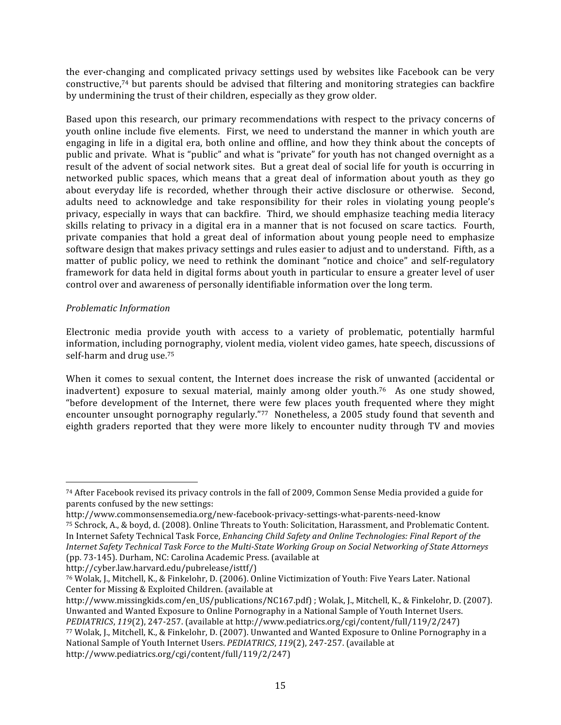the ever-changing and complicated privacy settings used by websites like Facebook can be very constructive,74
but
parents
should
be
advised
 that
 filtering
and
monitoring
strategies
can
backfire by
undermining
the
trust
of
their
children,
especially
as
they
grow
older.

Based upon this research, our primary recommendations with respect to the privacy concerns of youth online include five elements. First, we need to understand the manner in which youth are engaging in life in a digital era, both online and offline, and how they think about the concepts of public and private. What is "public" and what is "private" for youth has not changed overnight as a result of the advent of social network sites. But a great deal of social life for youth is occurring in networked public spaces, which means that a great deal of information about youth as they go about everyday life is recorded, whether through their active disclosure or otherwise. Second, adults need to acknowledge and take responsibility for their roles in violating young people's privacy, especially in ways that can backfire. Third, we should emphasize teaching media literacy skills relating to privacy in a digital era in a manner that is not focused on scare tactics. Fourth, private companies that hold a great deal of information about young people need to emphasize software design that makes privacy settings and rules easier to adjust and to understand. Fifth, as a matter of public policy, we need to rethink the dominant "notice and choice" and self-regulatory framework for data held in digital forms about youth in particular to ensure a greater level of user control
over
and
awareness
of
personally
identifiable
information
over
the
long
term.

#### *Problematic
Information*

 $\overline{a}$ 

Electronic media provide youth with access to a variety of problematic, potentially harmful information,
including
pornography,
violent
media,
violent
video
games,
hate
speech,
discussions
of self‐harm
and
drug
use.75

When it comes to sexual content, the Internet does increase the risk of unwanted (accidental or inadvertent) exposure to sexual material, mainly among older youth.<sup>76</sup> As one study showed, "before development of the Internet, there were few places youth frequented where they might encounter unsought pornography regularly."<sup>77</sup> Nonetheless, a 2005 study found that seventh and eighth graders reported that they were more likely to encounter nudity through TV and movies

<sup>&</sup>lt;sup>74</sup> After Facebook revised its privacy controls in the fall of 2009, Common Sense Media provided a guide for parents
confused
by
the
new
settings:

http://www.commonsensemedia.org/new‐facebook‐privacy‐settings‐what‐parents‐need‐know <sup>75</sup> Schrock, A., & boyd, d. (2008). Online Threats to Youth: Solicitation, Harassment, and Problematic Content. In Internet Safety Technical Task Force, *Enhancing Child Safety and Online Technologies: Final Report of the* Internet Safety Technical Task Force to the Multi-State Working Group on Social Networking of State Attorneys (pp.
73‐145).
Durham,
NC:
Carolina
Academic
Press.
(available
at

<sup>&</sup>lt;sup>76</sup> Wolak, J., Mitchell, K., & Finkelohr, D. (2006). Online Victimization of Youth: Five Years Later. National Center
for
Missing
&
Exploited
Children.
(available
at

http://www.missingkids.com/en\_US/publications/NC167.pdf); Wolak, J., Mitchell, K., & Finkelohr, D. (2007). Unwanted and Wanted Exposure to Online Pornography in a National Sample of Youth Internet Users. PEDIATRICS, 119(2), 247-257. (available at http://www.pediatrics.org/cgi/content/full/119/2/247) 77 Wolak, J., Mitchell, K., & Finkelohr, D. (2007). Unwanted and Wanted Exposure to Online Pornography in a National Sample of Youth Internet Users. *PEDIATRICS*, 119(2), 247-257. (available at http://www.pediatrics.org/cgi/content/full/119/2/247)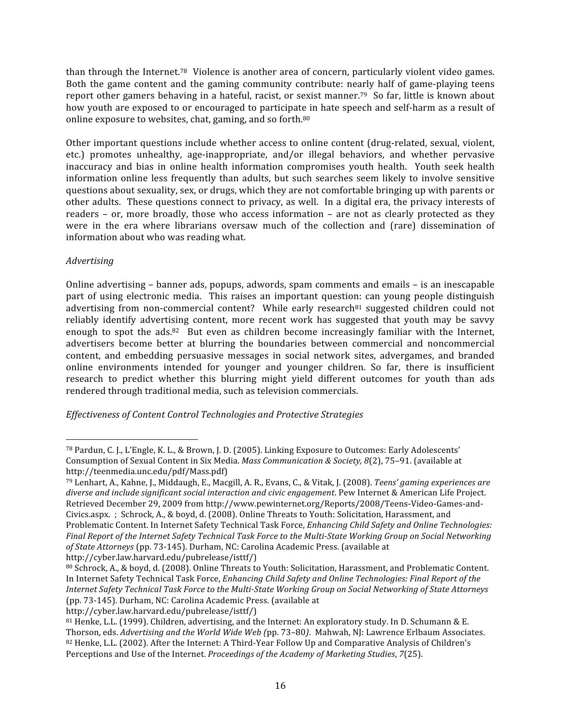than through the Internet.<sup>78</sup> Violence is another area of concern, particularly violent video games. Both the game content and the gaming community contribute: nearly half of game-playing teens report other gamers behaving in a hateful, racist, or sexist manner.<sup>79</sup> So far, little is known about how youth are exposed to or encouraged to participate in hate speech and self-harm as a result of online
exposure
to
websites,
chat,
gaming,
and
so
forth.80

Other important questions include whether access to online content (drug-related, sexual, violent, etc.) promotes unhealthy, age-inappropriate, and/or illegal behaviors, and whether pervasive inaccuracy and bias in online health information compromises youth health. Youth seek health information
 online
less
 frequently
 than
 adults,
 but
 such
 searches
 seem
likely
 to
involve
 sensitive questions
about
sexuality,
sex,
or
drugs,
which
they
are
not
comfortable
bringing
up
with
parents
or other
adults.

These
questions
connect
to
privacy,
as
well.

 In
a
digital
era,
the
privacy
interests
of readers – or, more broadly, those who access information – are not as clearly protected as they were in the era where librarians oversaw much of the collection and (rare) dissemination of information
about
who
was
reading
what.

# *Advertising*

 $\overline{a}$ 

Online advertising – banner ads, popups, adwords, spam comments and emails – is an inescapable part of using electronic media. This raises an important question: can young people distinguish advertising from non-commercial content? While early research<sup>81</sup> suggested children could not reliably identify advertising content, more recent work has suggested that youth may be savvy enough to spot the ads.<sup>82</sup> But even as children become increasingly familiar with the Internet, advertisers
 become
 better
 at
 blurring
 the
 boundaries
 between
 commercial
 and
 noncommercial content,
 and
 embedding
 persuasive
 messages
 in
 social
 network
 sites,
 advergames,
 and
 branded online environments intended for younger and younger children. So far, there is insufficient research to predict whether this blurring might yield different outcomes for youth than ads rendered
through
traditional
media,
such
as
television
commercials.

*Effectiveness
of
Content
Control
Technologies
and
Protective
Strategies*

<sup>78</sup> Pardun, C. J., L'Engle, K. L., & Brown, J. D. (2005). Linking Exposure to Outcomes: Early Adolescents' Consumption of Sexual Content in Six Media. Mass Communication & Society, 8(2), 75-91. (available at http://teenmedia.unc.edu/pdf/Mass.pdf)

<sup>&</sup>lt;sup>79</sup> Lenhart, A., Kahne, J., Middaugh, E., Macgill, A. R., Evans, C., & Vitak, J. (2008). *Teens' gaming experiences are* diverse and include significant social interaction and civic engagement. Pew Internet & American Life Project. Retrieved
December
29,
2009
from
http://www.pewinternet.org/Reports/2008/Teens‐Video‐Games‐and‐ Civics.aspx. ; Schrock, A., & boyd, d. (2008). Online Threats to Youth: Solicitation, Harassment, and Problematic Content. In Internet Safety Technical Task Force, *Enhancing Child Safety and Online Technologies:* Final Report of the Internet Safety Technical Task Force to the Multi-State Working Group on Social Networking of State Attorneys (pp. 73-145). Durham, NC: Carolina Academic Press. (available at http://cyber.law.harvard.edu/pubrelease/isttf/)

<sup>80</sup> Schrock, A., & boyd, d. (2008). Online Threats to Youth: Solicitation, Harassment, and Problematic Content. In Internet Safety Technical Task Force, *Enhancing Child Safety and Online Technologies: Final Report of the* Internet Safety Technical Task Force to the Multi-State Working Group on Social Networking of State Attorneys (pp.
73‐145).
Durham,
NC:
Carolina
Academic
Press.
(available
at

<sup>&</sup>lt;sup>81</sup> Henke, L.L. (1999). Children, advertising, and the Internet: An exploratory study. In D. Schumann & E. Thorson, eds. Advertising and the World Wide Web (pp. 73-80). Mahwah, NJ: Lawrence Erlbaum Associates. 82 Henke, L.L. (2002). After the Internet: A Third-Year Follow Up and Comparative Analysis of Children's Perceptions
and
Use
of
the
Internet. *Proceedings
of
the
Academy
of
Marketing
Studies*, *7*(25).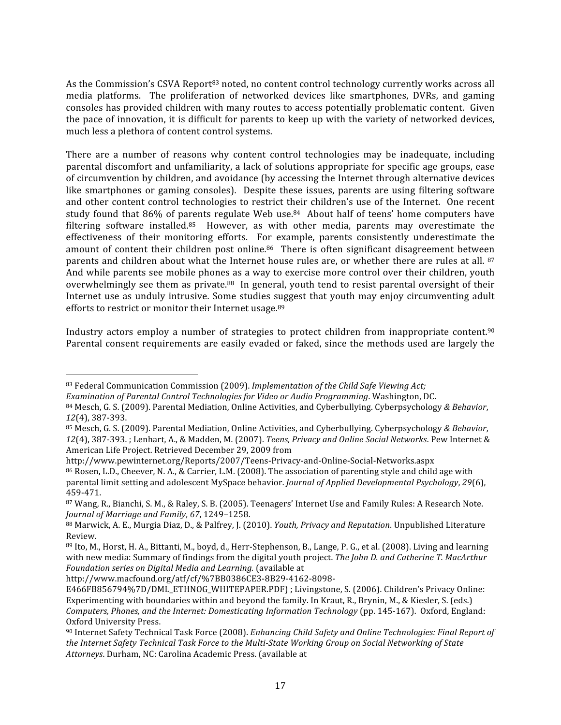As the Commission's CSVA Report<sup>83</sup> noted, no content control technology currently works across all media platforms. The proliferation of networked devices like smartphones, DVRs, and gaming consoles
has
provided
children
with
many
routes
to
access
potentially
problematic
content. Given the
pace
of
innovation,
it
is
difficult
 for
parents
 to
keep
up
with
 the
variety
of
networked
devices, much
less
a
plethora
of
content
control
systems.

There are a number of reasons why content control technologies may be inadequate, including parental
discomfort
and
unfamiliarity,
a
lack
of
solutions
appropriate
 for
specific
age
groups,
ease of
circumvention
by
children,
and
avoidance
(by
accessing
the
Internet
through
alternative
devices like smartphones or gaming consoles). Despite these issues, parents are using filtering software and other content control technologies to restrict their children's use of the Internet. One recent study found that 86% of parents regulate Web use.<sup>84</sup> About half of teens' home computers have filtering software installed.<sup>85</sup> However, as with other media, parents may overestimate the effectiveness of their monitoring efforts. For example, parents consistently underestimate the amount of content their children post online.<sup>86</sup> There is often significant disagreement between parents and children about what the Internet house rules are, or whether there are rules at all. 87 And while parents see mobile phones as a way to exercise more control over their children, youth overwhelmingly see them as private.<sup>88</sup> In general, youth tend to resist parental oversight of their Internet use as unduly intrusive. Some studies suggest that youth may enjoy circumventing adult efforts to restrict or monitor their Internet usage.<sup>89</sup>

Industry actors employ a number of strategies to protect children from inappropriate content.<sup>90</sup> Parental consent requirements are easily evaded or faked, since the methods used are largely the

http://www.pewinternet.org/Reports/2007/Teens‐Privacy‐and‐Online‐Social‐Networks.aspx

http://www.macfound.org/atf/cf/%7BB0386CE3‐8B29‐4162‐8098‐

 $\overline{a}$ 

<sup>&</sup>lt;sup>83</sup> Federal Communication Commission (2009). *Implementation of the Child Safe Viewing Act*; *Examination
of
Parental
Control
Technologies
for
Video
or
Audio
Programming*.
Washington,
DC.

<sup>&</sup>lt;sup>84</sup> Mesch, G. S. (2009). Parental Mediation, Online Activities, and Cyberbullying. Cyberpsychology & Behavior, *12*(4),
387‐393.

<sup>85</sup> Mesch, G. S. (2009). Parental Mediation, Online Activities, and Cyberbullying. Cyberpsychology & Behavior, 12(4), 387-393.; Lenhart, A., & Madden, M. (2007). Teens, Privacy and Online Social Networks. Pew Internet & American
Life
Project.
Retrieved
December
29,
2009
from

<sup>&</sup>lt;sup>86</sup> Rosen, L.D., Cheever, N. A., & Carrier, L.M. (2008). The association of parenting style and child age with parental
limit
setting
and
adolescent
MySpace
behavior. *Journal
of
Applied
Developmental
Psychology*, *29*(6), 459‐471.

<sup>87</sup> Wang, R., Bianchi, S. M., & Raley, S. B. (2005). Teenagers' Internet Use and Family Rules: A Research Note. *Journal
of
Marriage
and
Family*, *67*,
1249–1258.

<sup>&</sup>lt;sup>88</sup> Marwick, A. E., Murgia Diaz, D., & Palfrey, J. (2010). *Youth, Privacy and Reputation*. Unpublished Literature Review.

<sup>89</sup> Ito, M., Horst, H. A., Bittanti, M., boyd, d., Herr-Stephenson, B., Lange, P. G., et al. (2008). Living and learning with new media: Summary of findings from the digital youth project. The John D. and Catherine T. MacArthur *Foundation
series
on
Digital
Media
and
Learning.* (available
at

E466FB856794%7D/DML ETHNOG\_WHITEPAPER.PDF); Livingstone, S. (2006). Children's Privacy Online: Experimenting with boundaries within and beyond the family. In Kraut, R., Brynin, M., & Kiesler, S. (eds.) Computers, Phones, and the Internet: Domesticating Information Technology (pp. 145-167). Oxford, England: Oxford
University
Press.

<sup>&</sup>lt;sup>90</sup> Internet Safety Technical Task Force (2008). *Enhancing Child Safety and Online Technologies: Final Report of* the Internet Safety Technical Task Force to the Multi-State Working Group on Social Networking of State Attorneys. Durham, NC: Carolina Academic Press. (available at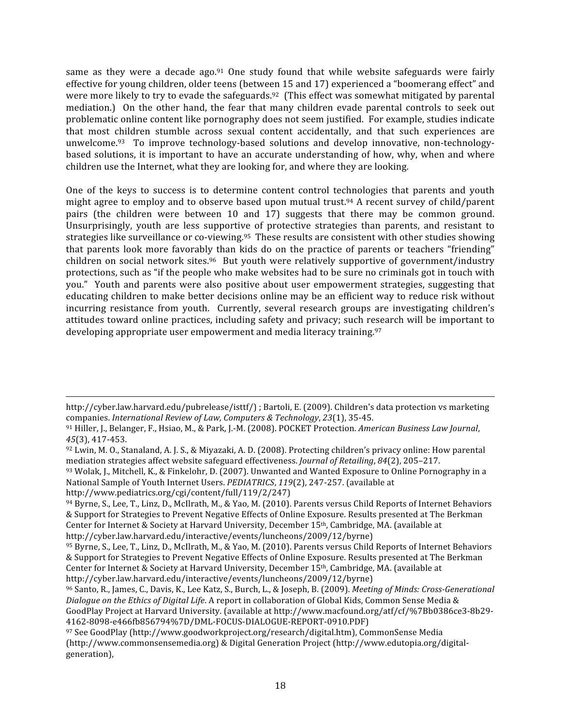same as they were a decade ago.<sup>91</sup> One study found that while website safeguards were fairly effective for young children, older teens (between 15 and 17) experienced a "boomerang effect" and were more likely to try to evade the safeguards.<sup>92</sup> (This effect was somewhat mitigated by parental mediation.) On the other hand, the fear that many children evade parental controls to seek out problematic
online
content
like
pornography
does
not
seem
justified. For
example,
studies
indicate that most children stumble across sexual content accidentally, and that such experiences are unwelcome.<sup>93</sup> To improve technology-based solutions and develop innovative, non-technologybased
solutions,
it
is
important
 to
have
an
accurate
understanding
of
how,
why,
when
and
where children
use
the
Internet,
what
they
are
looking
for,
and
where
they
are
looking.

One of the keys to success is to determine content control technologies that parents and youth might agree to employ and to observe based upon mutual trust.<sup>94</sup> A recent survey of child/parent pairs (the children were between 10 and 17) suggests that there may be common ground. Unsurprisingly, youth are less supportive of protective strategies than parents, and resistant to strategies like surveillance or co-viewing.<sup>95</sup> These results are consistent with other studies showing that parents look more favorably than kids do on the practice of parents or teachers "friending" children on social network sites.<sup>96</sup> But youth were relatively supportive of government/industry protections, such as "if the people who make websites had to be sure no criminals got in touch with you." Youth and parents were also positive about user empowerment strategies, suggesting that educating children to make better decisions online may be an efficient way to reduce risk without incurring resistance from youth. Currently, several research groups are investigating children's attitudes
toward
online
practices,
including
safety
and
privacy;
such
research
will
be
important
to developing
appropriate
user
empowerment
and
media
literacy
training.97

 $\overline{a}$ http://cyber.law.harvard.edu/pubrelease/isttf/)
; Bartoli,
E.
(2009).
Children's
data
protection
vs
marketing companies. *International
Review
of
Law,
Computers
&
Technology*, *23*(1),
35‐45.

<sup>91</sup> Hiller, J., Belanger, F., Hsiao, M., & Park, J.-M. (2008). POCKET Protection. American Business Law Journal, *45*(3),
417‐453.

<sup>92</sup> Lwin, M. O., Stanaland, A. J. S., & Miyazaki, A. D. (2008). Protecting children's privacy online: How parental mediation
strategies
affect
website
safeguard
effectiveness. *Journal
of
Retailing*, *84*(2),
205–217.

<sup>93</sup> Wolak, J., Mitchell, K., & Finkelohr, D. (2007). Unwanted and Wanted Exposure to Online Pornography in a National Sample of Youth Internet Users. PEDIATRICS, 119(2), 247-257. (available at

http://www.pediatrics.org/cgi/content/full/119/2/247)

<sup>94</sup> Byrne, S., Lee, T., Linz, D., McIlrath, M., & Yao, M. (2010). Parents versus Child Reports of Internet Behaviors &
Support
for
Strategies
to
Prevent
Negative
Effects
of
Online
Exposure.
Results
presented
at
The
Berkman Center for Internet & Society at Harvard University, December 15<sup>th</sup>, Cambridge, MA. (available at http://cyber.law.harvard.edu/interactive/events/luncheons/2009/12/byrne)

<sup>95</sup> Byrne, S., Lee, T., Linz, D., McIlrath, M., & Yao, M. (2010). Parents versus Child Reports of Internet Behaviors &
Support
for
Strategies
to
Prevent
Negative
Effects
of
Online
Exposure.
Results
presented
at
The
Berkman Center for Internet & Society at Harvard University, December 15<sup>th</sup>, Cambridge, MA. (available at http://cyber.law.harvard.edu/interactive/events/luncheons/2009/12/byrne)

<sup>&</sup>lt;sup>96</sup> Santo, R., James, C., Davis, K., Lee Katz, S., Burch, L., & Joseph, B. (2009). *Meeting of Minds: Cross-Generational* Dialogue on the Ethics of Digital Life. A report in collaboration of Global Kids, Common Sense Media & GoodPlay Project at Harvard University. (available at http://www.macfound.org/atf/cf/%7Bb0386ce3-8b29-4162‐8098‐e466fb856794%7D/DML‐FOCUS‐DIALOGUE‐REPORT‐0910.PDF)

<sup>97</sup> See
GoodPlay
(http://www.goodworkproject.org/research/digital.htm),
CommonSense
Media (http://www.commonsensemedia.org)
&
Digital
Generation
Project
(http://www.edutopia.org/digital‐ generation),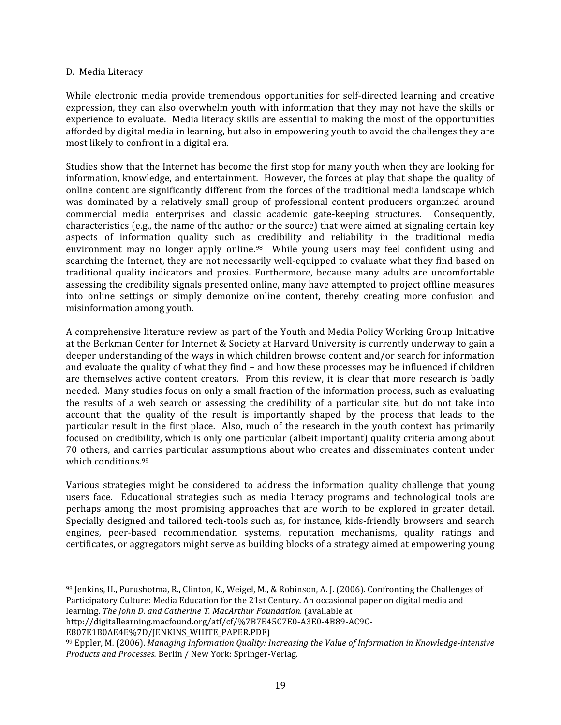#### D.

Media
Literacy

While electronic media provide tremendous opportunities for self-directed learning and creative expression, they can also overwhelm youth with information that they may not have the skills or experience
to
evaluate. Media
literacy
skills
are
essential
to
making
the
most
of
the
opportunities afforded by digital media in learning, but also in empowering youth to avoid the challenges they are most
likely
to
confront
in
a
digital
era.

Studies show that the Internet has become the first stop for many youth when they are looking for information, knowledge, and entertainment. However, the forces at play that shape the quality of online
content
are
significantly
different
 from
 the
 forces
of
the
 traditional
media
landscape
which was dominated by a relatively small group of professional content producers organized around commercial
 media
 enterprises
 and
 classic
 academic
 gate‐keeping
 structures. Consequently, characteristics
(e.g.,
the
name
of
the
author
or
the
source)
that
were
aimed
at
signaling
certain
key aspects of information quality such as credibility and reliability in the traditional media environment may no longer apply online.<sup>98</sup> While young users may feel confident using and searching the Internet, they are not necessarily well-equipped to evaluate what they find based on traditional
 quality
 indicators
 and
 proxies.
 Furthermore,
 because
 many
 adults
 are
 uncomfortable assessing
the
credibility
signals
presented
online,
many
have
attempted
to
project
offline
measures into online settings or simply demonize online content, thereby creating more confusion and misinformation
among
youth.

A comprehensive literature review as part of the Youth and Media Policy Working Group Initiative at
the
Berkman
Center
for
Internet
&
Society
at
Harvard
University is
currently
underway
to
gain
a deeper understanding of the ways in which children browse content and/or search for information and evaluate the quality of what they find - and how these processes may be influenced if children are themselves active content creators. From this review, it is clear that more research is badly needed. Many studies focus on only a small fraction of the information process, such as evaluating the results of a web search or assessing the credibility of a particular site, but do not take into account that the quality of the result is importantly shaped by the process that leads to the particular result in the first place. Also, much of the research in the youth context has primarily focused on credibility, which is only one particular (albeit important) quality criteria among about 70
 others,
and
carries
particular
assumptions
about
who
creates
and
disseminates
content
under which
conditions.99

Various strategies might be considered to address the information quality challenge that young users face. Educational strategies such as media literacy programs and technological tools are perhaps among the most promising approaches that are worth to be explored in greater detail. Specially designed and tailored tech-tools such as, for instance, kids-friendly browsers and search engines, peer-based recommendation systems, reputation mechanisms, quality ratings and certificates,
or
aggregators
might
serve
as
building
blocks
of
a
strategy
aimed
at
empowering
young

http://digitallearning.macfound.org/atf/cf/%7B7E45C7E0‐A3E0‐4B89‐AC9C‐

E807E1B0AE4E%7D/JENKINS\_WHITE\_PAPER.PDF)

 $\overline{a}$ 

<sup>98</sup> Jenkins, H., Purushotma, R., Clinton, K., Weigel, M., & Robinson, A. J. (2006). Confronting the Challenges of Participatory Culture: Media Education for the 21st Century. An occasional paper on digital media and learning. *The
John
D.
and
Catherine
T. MacArthur
Foundation.*(available
at

<sup>&</sup>lt;sup>99</sup> Eppler, M. (2006). Managing Information Quality: Increasing the Value of Information in Knowledge-intensive Products and Processes. Berlin / New York: Springer-Verlag.